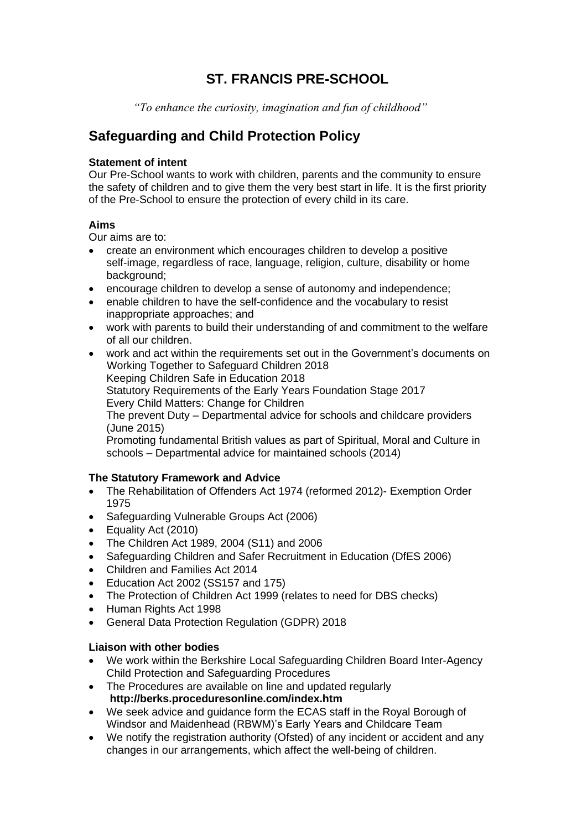# **ST. FRANCIS PRE-SCHOOL**

 *"To enhance the curiosity, imagination and fun of childhood"*

# **Safeguarding and Child Protection Policy**

## **Statement of intent**

Our Pre-School wants to work with children, parents and the community to ensure the safety of children and to give them the very best start in life. It is the first priority of the Pre-School to ensure the protection of every child in its care.

# **Aims**

Our aims are to:

- create an environment which encourages children to develop a positive self-image, regardless of race, language, religion, culture, disability or home background;
- encourage children to develop a sense of autonomy and independence;
- enable children to have the self-confidence and the vocabulary to resist inappropriate approaches; and
- work with parents to build their understanding of and commitment to the welfare of all our children.
- work and act within the requirements set out in the Government's documents on Working Together to Safeguard Children 2018 Keeping Children Safe in Education 2018 Statutory Requirements of the Early Years Foundation Stage 2017 Every Child Matters: Change for Children The prevent Duty – Departmental advice for schools and childcare providers (June 2015) Promoting fundamental British values as part of Spiritual, Moral and Culture in schools – Departmental advice for maintained schools (2014)

# **The Statutory Framework and Advice**

- The Rehabilitation of Offenders Act 1974 (reformed 2012)- Exemption Order 1975
- Safeguarding Vulnerable Groups Act (2006)
- Equality Act (2010)
- The Children Act 1989, 2004 (S11) and 2006
- Safeguarding Children and Safer Recruitment in Education (DfES 2006)
- Children and Families Act 2014
- Education Act 2002 (SS157 and 175)
- The Protection of Children Act 1999 (relates to need for DBS checks)
- Human Rights Act 1998
- General Data Protection Regulation (GDPR) 2018

#### **Liaison with other bodies**

- We work within the Berkshire Local Safeguarding Children Board Inter-Agency Child Protection and Safeguarding Procedures
- The Procedures are available on line and updated regularly **http://berks.proceduresonline.com/index.htm**
- We seek advice and guidance form the ECAS staff in the Royal Borough of Windsor and Maidenhead (RBWM)'s Early Years and Childcare Team
- We notify the registration authority (Ofsted) of any incident or accident and any changes in our arrangements, which affect the well-being of children.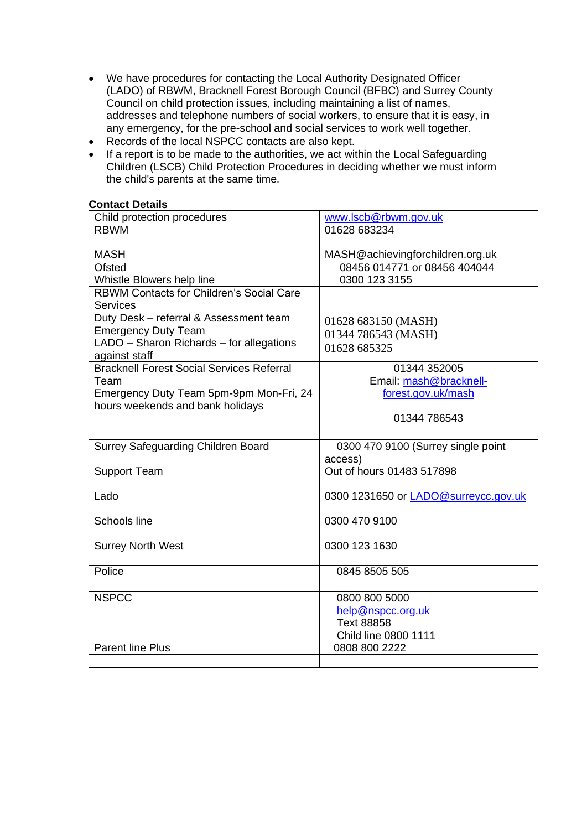- We have procedures for contacting the Local Authority Designated Officer (LADO) of RBWM, Bracknell Forest Borough Council (BFBC) and Surrey County Council on child protection issues, including maintaining a list of names, addresses and telephone numbers of social workers, to ensure that it is easy, in any emergency, for the pre-school and social services to work well together.
- Records of the local NSPCC contacts are also kept.
- If a report is to be made to the authorities, we act within the Local Safeguarding Children (LSCB) Child Protection Procedures in deciding whether we must inform the child's parents at the same time.

#### **Contact Details**

| Child protection procedures                      | www.lscb@rbwm.gov.uk                 |
|--------------------------------------------------|--------------------------------------|
| <b>RBWM</b>                                      | 01628 683234                         |
|                                                  |                                      |
| <b>MASH</b>                                      | MASH@achievingforchildren.org.uk     |
| Ofsted                                           | 08456 014771 or 08456 404044         |
| Whistle Blowers help line                        | 0300 123 3155                        |
| <b>RBWM Contacts for Children's Social Care</b>  |                                      |
| <b>Services</b>                                  |                                      |
| Duty Desk - referral & Assessment team           | 01628 683150 (MASH)                  |
| <b>Emergency Duty Team</b>                       | 01344 786543 (MASH)                  |
| LADO - Sharon Richards - for allegations         |                                      |
| against staff                                    | 01628 685325                         |
| <b>Bracknell Forest Social Services Referral</b> | 01344 352005                         |
| Team                                             | Email: mash@bracknell-               |
| Emergency Duty Team 5pm-9pm Mon-Fri, 24          | forest.gov.uk/mash                   |
| hours weekends and bank holidays                 |                                      |
|                                                  | 01344 786543                         |
|                                                  |                                      |
| <b>Surrey Safeguarding Children Board</b>        | 0300 470 9100 (Surrey single point   |
|                                                  | access)                              |
|                                                  |                                      |
| <b>Support Team</b>                              | Out of hours 01483 517898            |
|                                                  |                                      |
| Lado                                             | 0300 1231650 or LADO@surreycc.gov.uk |
|                                                  |                                      |
| Schools line                                     | 0300 470 9100                        |
|                                                  |                                      |
| <b>Surrey North West</b>                         | 0300 123 1630                        |
|                                                  |                                      |
| Police                                           | 0845 8505 505                        |
|                                                  |                                      |
| <b>NSPCC</b>                                     | 0800 800 5000                        |
|                                                  | help@nspcc.org.uk                    |
|                                                  | <b>Text 88858</b>                    |
|                                                  |                                      |
|                                                  | Child line 0800 1111                 |
| <b>Parent line Plus</b>                          | 0808 800 2222                        |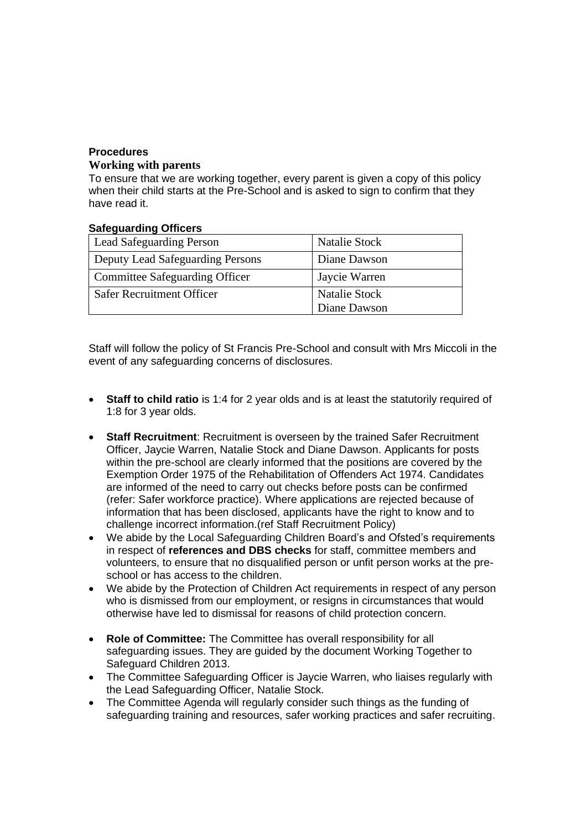# **Procedures**

# **Working with parents**

To ensure that we are working together, every parent is given a copy of this policy when their child starts at the Pre-School and is asked to sign to confirm that they have read it.

#### **Safeguarding Officers**

| <b>Lead Safeguarding Person</b>       | <b>Natalie Stock</b> |
|---------------------------------------|----------------------|
| Deputy Lead Safeguarding Persons      | Diane Dawson         |
| <b>Committee Safeguarding Officer</b> | Jaycie Warren        |
| <b>Safer Recruitment Officer</b>      | <b>Natalie Stock</b> |
|                                       | Diane Dawson         |

Staff will follow the policy of St Francis Pre-School and consult with Mrs Miccoli in the event of any safeguarding concerns of disclosures.

- **Staff to child ratio** is 1:4 for 2 year olds and is at least the statutorily required of 1:8 for 3 year olds.
- **Staff Recruitment**: Recruitment is overseen by the trained Safer Recruitment Officer, Jaycie Warren, Natalie Stock and Diane Dawson. Applicants for posts within the pre-school are clearly informed that the positions are covered by the Exemption Order 1975 of the Rehabilitation of Offenders Act 1974. Candidates are informed of the need to carry out checks before posts can be confirmed (refer: Safer workforce practice). Where applications are rejected because of information that has been disclosed, applicants have the right to know and to challenge incorrect information.(ref Staff Recruitment Policy)
- We abide by the Local Safeguarding Children Board's and Ofsted's requirements in respect of **references and DBS checks** for staff, committee members and volunteers, to ensure that no disqualified person or unfit person works at the preschool or has access to the children.
- We abide by the Protection of Children Act requirements in respect of any person who is dismissed from our employment, or resigns in circumstances that would otherwise have led to dismissal for reasons of child protection concern.
- **Role of Committee:** The Committee has overall responsibility for all safeguarding issues. They are guided by the document Working Together to Safeguard Children 2013.
- The Committee Safeguarding Officer is Jaycie Warren, who liaises regularly with the Lead Safeguarding Officer, Natalie Stock.
- The Committee Agenda will regularly consider such things as the funding of safeguarding training and resources, safer working practices and safer recruiting.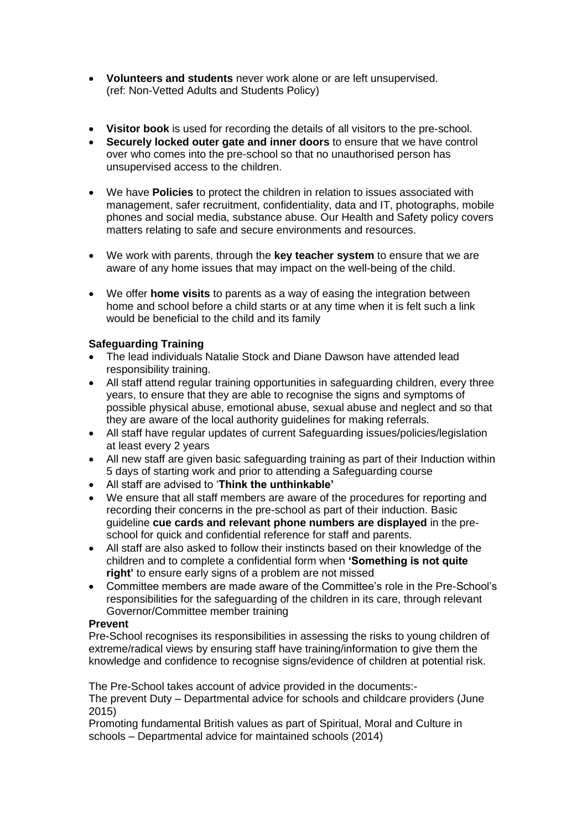- **Volunteers and students** never work alone or are left unsupervised. (ref: Non-Vetted Adults and Students Policy)
- **Visitor book** is used for recording the details of all visitors to the pre-school.
- **Securely locked outer gate and inner doors** to ensure that we have control over who comes into the pre-school so that no unauthorised person has unsupervised access to the children.
- We have **Policies** to protect the children in relation to issues associated with management, safer recruitment, confidentiality, data and IT, photographs, mobile phones and social media, substance abuse. Our Health and Safety policy covers matters relating to safe and secure environments and resources.
- We work with parents, through the **key teacher system** to ensure that we are aware of any home issues that may impact on the well-being of the child.
- We offer **home visits** to parents as a way of easing the integration between home and school before a child starts or at any time when it is felt such a link would be beneficial to the child and its family

## **Safeguarding Training**

- The lead individuals Natalie Stock and Diane Dawson have attended lead responsibility training.
- All staff attend regular training opportunities in safeguarding children, every three years, to ensure that they are able to recognise the signs and symptoms of possible physical abuse, emotional abuse, sexual abuse and neglect and so that they are aware of the local authority guidelines for making referrals.
- All staff have regular updates of current Safeguarding issues/policies/legislation at least every 2 years
- All new staff are given basic safeguarding training as part of their Induction within 5 days of starting work and prior to attending a Safeguarding course
- All staff are advised to '**Think the unthinkable'**
- We ensure that all staff members are aware of the procedures for reporting and recording their concerns in the pre-school as part of their induction. Basic guideline **cue cards and relevant phone numbers are displayed** in the preschool for quick and confidential reference for staff and parents.
- All staff are also asked to follow their instincts based on their knowledge of the children and to complete a confidential form when **'Something is not quite right'** to ensure early signs of a problem are not missed
- Committee members are made aware of the Committee's role in the Pre-School's responsibilities for the safeguarding of the children in its care, through relevant Governor/Committee member training

#### **Prevent**

Pre-School recognises its responsibilities in assessing the risks to young children of extreme/radical views by ensuring staff have training/information to give them the knowledge and confidence to recognise signs/evidence of children at potential risk.

The Pre-School takes account of advice provided in the documents:- The prevent Duty – Departmental advice for schools and childcare providers (June 2015)

Promoting fundamental British values as part of Spiritual, Moral and Culture in schools – Departmental advice for maintained schools (2014)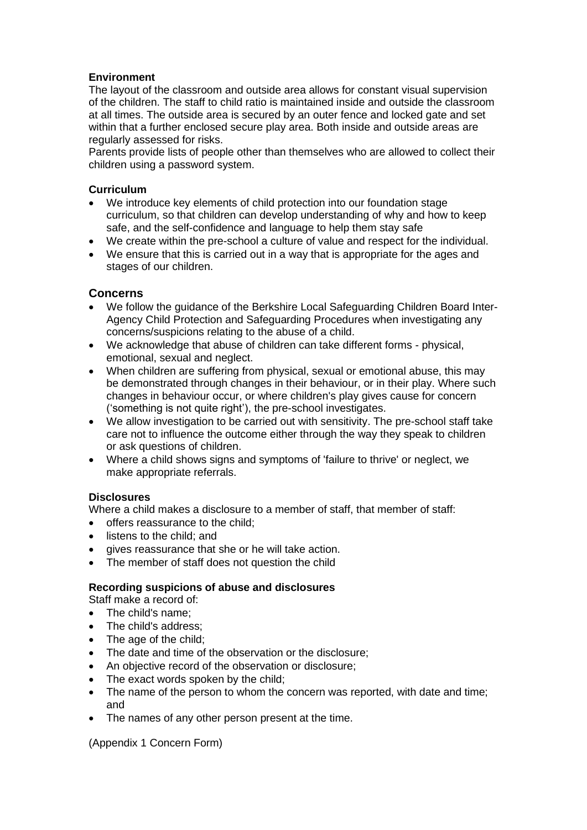## **Environment**

The layout of the classroom and outside area allows for constant visual supervision of the children. The staff to child ratio is maintained inside and outside the classroom at all times. The outside area is secured by an outer fence and locked gate and set within that a further enclosed secure play area. Both inside and outside areas are regularly assessed for risks.

Parents provide lists of people other than themselves who are allowed to collect their children using a password system.

#### **Curriculum**

- We introduce key elements of child protection into our foundation stage curriculum, so that children can develop understanding of why and how to keep safe, and the self-confidence and language to help them stay safe
- We create within the pre-school a culture of value and respect for the individual.
- We ensure that this is carried out in a way that is appropriate for the ages and stages of our children.

## **Concerns**

- We follow the guidance of the Berkshire Local Safeguarding Children Board Inter-Agency Child Protection and Safeguarding Procedures when investigating any concerns/suspicions relating to the abuse of a child.
- We acknowledge that abuse of children can take different forms physical, emotional, sexual and neglect.
- When children are suffering from physical, sexual or emotional abuse, this may be demonstrated through changes in their behaviour, or in their play. Where such changes in behaviour occur, or where children's play gives cause for concern ('something is not quite right'), the pre-school investigates.
- We allow investigation to be carried out with sensitivity. The pre-school staff take care not to influence the outcome either through the way they speak to children or ask questions of children.
- Where a child shows signs and symptoms of 'failure to thrive' or neglect, we make appropriate referrals.

#### **Disclosures**

Where a child makes a disclosure to a member of staff, that member of staff:

- offers reassurance to the child;
- listens to the child; and
- gives reassurance that she or he will take action.
- The member of staff does not question the child

#### **Recording suspicions of abuse and disclosures**

- Staff make a record of:
- The child's name:
- The child's address:
- The age of the child;
- The date and time of the observation or the disclosure;
- An objective record of the observation or disclosure;
- The exact words spoken by the child;
- The name of the person to whom the concern was reported, with date and time; and
- The names of any other person present at the time.

(Appendix 1 Concern Form)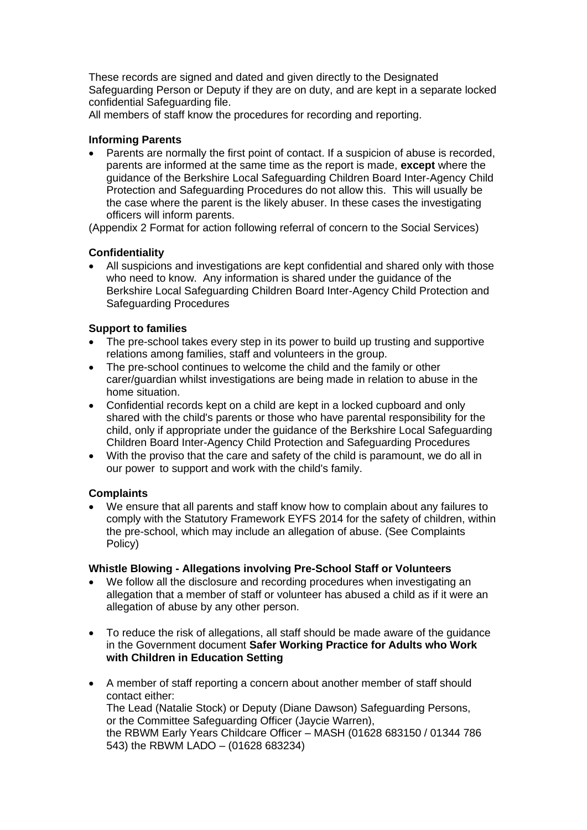These records are signed and dated and given directly to the Designated Safeguarding Person or Deputy if they are on duty, and are kept in a separate locked confidential Safeguarding file.

All members of staff know the procedures for recording and reporting.

## **Informing Parents**

• Parents are normally the first point of contact. If a suspicion of abuse is recorded, parents are informed at the same time as the report is made, **except** where the guidance of the Berkshire Local Safeguarding Children Board Inter-Agency Child Protection and Safeguarding Procedures do not allow this. This will usually be the case where the parent is the likely abuser. In these cases the investigating officers will inform parents.

(Appendix 2 Format for action following referral of concern to the Social Services)

# **Confidentiality**

• All suspicions and investigations are kept confidential and shared only with those who need to know. Any information is shared under the guidance of the Berkshire Local Safeguarding Children Board Inter-Agency Child Protection and Safeguarding Procedures

## **Support to families**

- The pre-school takes every step in its power to build up trusting and supportive relations among families, staff and volunteers in the group.
- The pre-school continues to welcome the child and the family or other carer/guardian whilst investigations are being made in relation to abuse in the home situation.
- Confidential records kept on a child are kept in a locked cupboard and only shared with the child's parents or those who have parental responsibility for the child, only if appropriate under the guidance of the Berkshire Local Safeguarding Children Board Inter-Agency Child Protection and Safeguarding Procedures
- With the proviso that the care and safety of the child is paramount, we do all in our power to support and work with the child's family.

# **Complaints**

• We ensure that all parents and staff know how to complain about any failures to comply with the Statutory Framework EYFS 2014 for the safety of children, within the pre-school, which may include an allegation of abuse. (See Complaints Policy)

#### **Whistle Blowing - Allegations involving Pre-School Staff or Volunteers**

- We follow all the disclosure and recording procedures when investigating an allegation that a member of staff or volunteer has abused a child as if it were an allegation of abuse by any other person.
- To reduce the risk of allegations, all staff should be made aware of the guidance in the Government document **Safer Working Practice for Adults who Work with Children in Education Setting**
- A member of staff reporting a concern about another member of staff should contact either: The Lead (Natalie Stock) or Deputy (Diane Dawson) Safeguarding Persons, or the Committee Safeguarding Officer (Jaycie Warren), the RBWM Early Years Childcare Officer – MASH (01628 683150 / 01344 786 543) the RBWM LADO – (01628 683234)